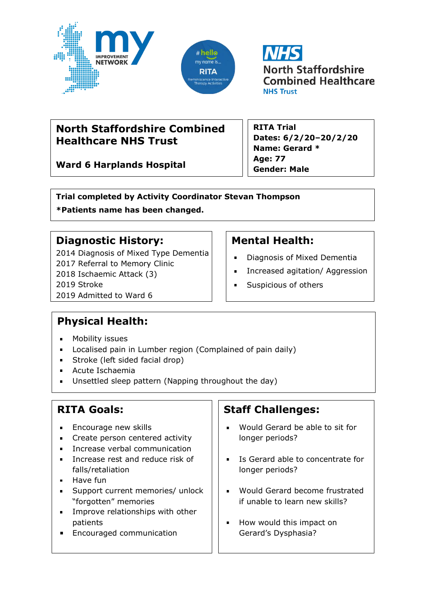





# **North Staffordshire Combined Healthcare NHS Trust**

**Ward 6 Harplands Hospital**

**RITA Trial Dates: 6/2/20–20/2/20 Name: Gerard \* Age: 77 Gender: Male**

**Trial completed by Activity Coordinator Stevan Thompson \*Patients name has been changed.**

### **Diagnostic History:**

2014 Diagnosis of Mixed Type Dementia 2017 Referral to Memory Clinic 2018 Ischaemic Attack (3) 2019 Stroke 2019 Admitted to Ward 6

# **Mental Health:**

- Diagnosis of Mixed Dementia
- Increased agitation/ Aggression  $\blacksquare$
- Suspicious of others  $\blacksquare$

# **Physical Health:**

- **Nobility issues**
- **Localised pain in Lumber region (Complained of pain daily)**
- **Stroke (left sided facial drop)**
- Acute Ischaemia
- Unsettled sleep pattern (Napping throughout the day)

# **RITA Goals:**

- **Encourage new skills**
- Create person centered activity
- **Increase verbal communication**
- **Increase rest and reduce risk of** falls/retaliation
- $-Have fun$
- Support current memories/ unlock "forgotten" memories
- **Improve relationships with other** patients
- **Encouraged communication**

# **Staff Challenges:**

- Would Gerard be able to sit for longer periods?
- Is Gerard able to concentrate for longer periods?
- **Would Gerard become frustrated** if unable to learn new skills?
- **How would this impact on** Gerard's Dysphasia?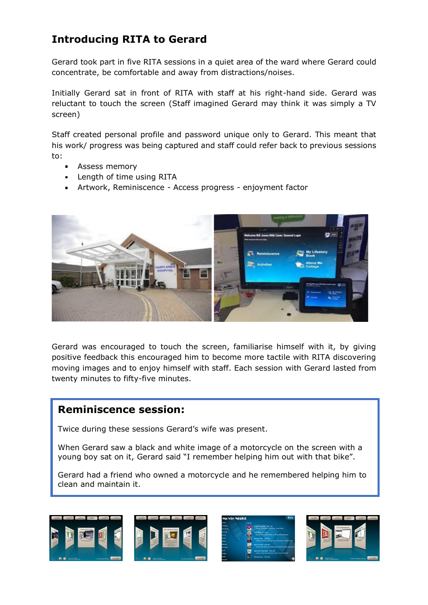# **Introducing RITA to Gerard**

Gerard took part in five RITA sessions in a quiet area of the ward where Gerard could concentrate, be comfortable and away from distractions/noises.

Initially Gerard sat in front of RITA with staff at his right-hand side. Gerard was reluctant to touch the screen (Staff imagined Gerard may think it was simply a TV screen)

Staff created personal profile and password unique only to Gerard. This meant that his work/ progress was being captured and staff could refer back to previous sessions to:

- **Assess memory**
- **Length of time using RITA**
- Artwork, Reminiscence Access progress enjoyment factor



Gerard was encouraged to touch the screen, familiarise himself with it, by giving positive feedback this encouraged him to become more tactile with RITA discovering moving images and to enjoy himself with staff. Each session with Gerard lasted from twenty minutes to fifty-five minutes.

#### **Reminiscence session:**

Twice during these sessions Gerard's wife was present.

When Gerard saw a black and white image of a motorcycle on the screen with a young boy sat on it, Gerard said "I remember helping him out with that bike".

Gerard had a friend who owned a motorcycle and he remembered helping him to clean and maintain it.

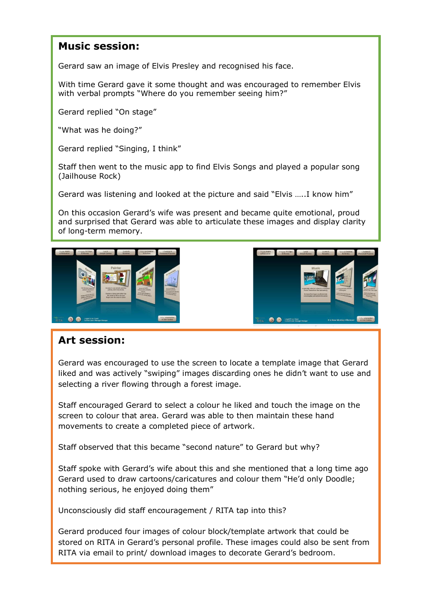#### **Music session:**

Gerard saw an image of Elvis Presley and recognised his face.

With time Gerard gave it some thought and was encouraged to remember Elvis with verbal prompts "Where do you remember seeing him?"

Gerard replied "On stage"

"What was he doing?"

Gerard replied "Singing, I think"

Staff then went to the music app to find Elvis Songs and played a popular song (Jailhouse Rock)

Gerard was listening and looked at the picture and said "Elvis …..I know him"

On this occasion Gerard's wife was present and became quite emotional, proud and surprised that Gerard was able to articulate these images and display clarity of long-term memory.



#### **Art session:**

Gerard was encouraged to use the screen to locate a template image that Gerard liked and was actively "swiping" images discarding ones he didn't want to use and selecting a river flowing through a forest image.

Staff encouraged Gerard to select a colour he liked and touch the image on the screen to colour that area. Gerard was able to then maintain these hand movements to create a completed piece of artwork.

Staff observed that this became "second nature" to Gerard but why?

Staff spoke with Gerard's wife about this and she mentioned that a long time ago Gerard used to draw cartoons/caricatures and colour them "He'd only Doodle; nothing serious, he enjoyed doing them"

Unconsciously did staff encouragement / RITA tap into this?

Gerard produced four images of colour block/template artwork that could be stored on RITA in Gerard's personal profile. These images could also be sent from RITA via email to print/ download images to decorate Gerard's bedroom.